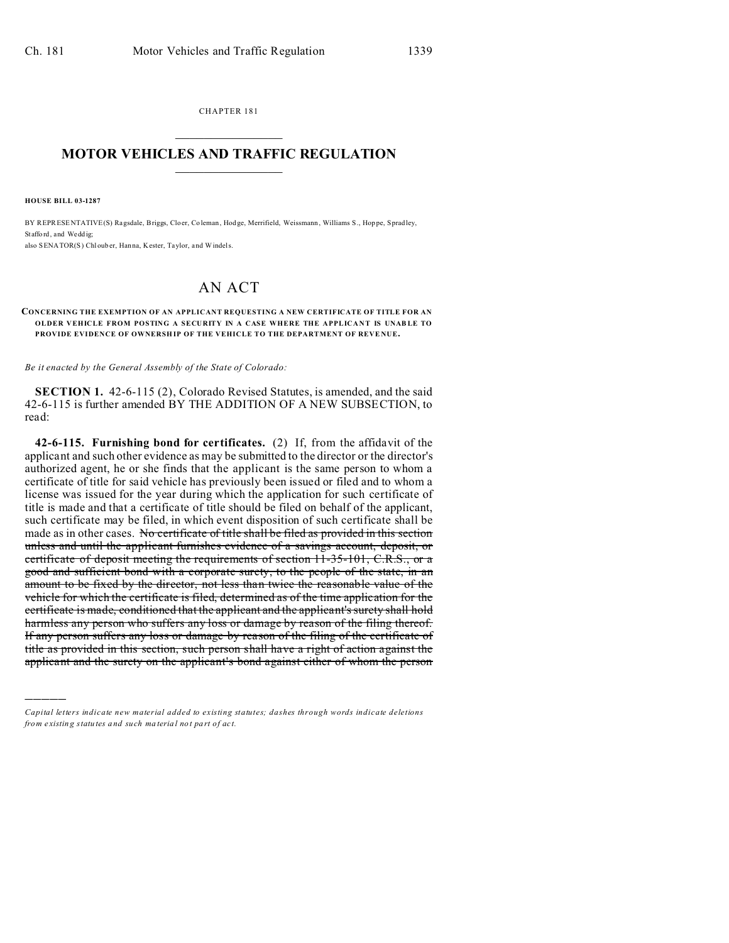CHAPTER 181  $\overline{\phantom{a}}$  , where  $\overline{\phantom{a}}$ 

## **MOTOR VEHICLES AND TRAFFIC REGULATION**  $\frac{1}{2}$  ,  $\frac{1}{2}$  ,  $\frac{1}{2}$  ,  $\frac{1}{2}$  ,  $\frac{1}{2}$  ,  $\frac{1}{2}$  ,  $\frac{1}{2}$

**HOUSE BILL 03-1287**

)))))

BY REPRESENTATIVE(S) Ragsdale, Briggs, Cloer, Co leman, Hod ge, Merrifield, Weissmann , Williams S., Hop pe, Spradley, Stafford, and Weddig; also SENATOR(S) Chloub er, Han na, Kester, Taylor, and Windels.

## AN ACT

## **CONCERNING THE EXEMPTION OF AN APPLICANT REQUESTING A NEW CERTIFICATE OF TITLE FOR AN OLDER VEHICLE FROM POSTING A SECURITY IN A CASE WHERE THE APPLICANT IS UNABLE TO PROVIDE EVIDENCE OF OWNERSHIP OF THE VEHICLE TO THE DEPARTMENT OF REVENUE.**

*Be it enacted by the General Assembly of the State of Colorado:*

**SECTION 1.** 42-6-115 (2), Colorado Revised Statutes, is amended, and the said 42-6-115 is further amended BY THE ADDITION OF A NEW SUBSECTION, to read:

**42-6-115. Furnishing bond for certificates.** (2) If, from the affidavit of the applicant and such other evidence as may be submitted to the director or the director's authorized agent, he or she finds that the applicant is the same person to whom a certificate of title for said vehicle has previously been issued or filed and to whom a license was issued for the year during which the application for such certificate of title is made and that a certificate of title should be filed on behalf of the applicant, such certificate may be filed, in which event disposition of such certificate shall be made as in other cases. No certificate of title shall be filed as provided in this section unless and until the applicant furnishes evidence of a savings account, deposit, or certificate of deposit meeting the requirements of section 11-35-101, C.R.S., or a good and sufficient bond with a corporate surety, to the people of the state, in an amount to be fixed by the director, not less than twice the reasonable value of the vehicle for which the certificate is filed, determined as of the time application for the certificate is made, conditioned that the applicant and the applicant's surety shall hold harmless any person who suffers any loss or damage by reason of the filing thereof. If any person suffers any loss or damage by reason of the filing of the certificate of title as provided in this section, such person shall have a right of action against the applicant and the surety on the applicant's bond against either of whom the person

*Capital letters indicate new material added to existing statutes; dashes through words indicate deletions from e xistin g statu tes a nd such ma teria l no t pa rt of ac t.*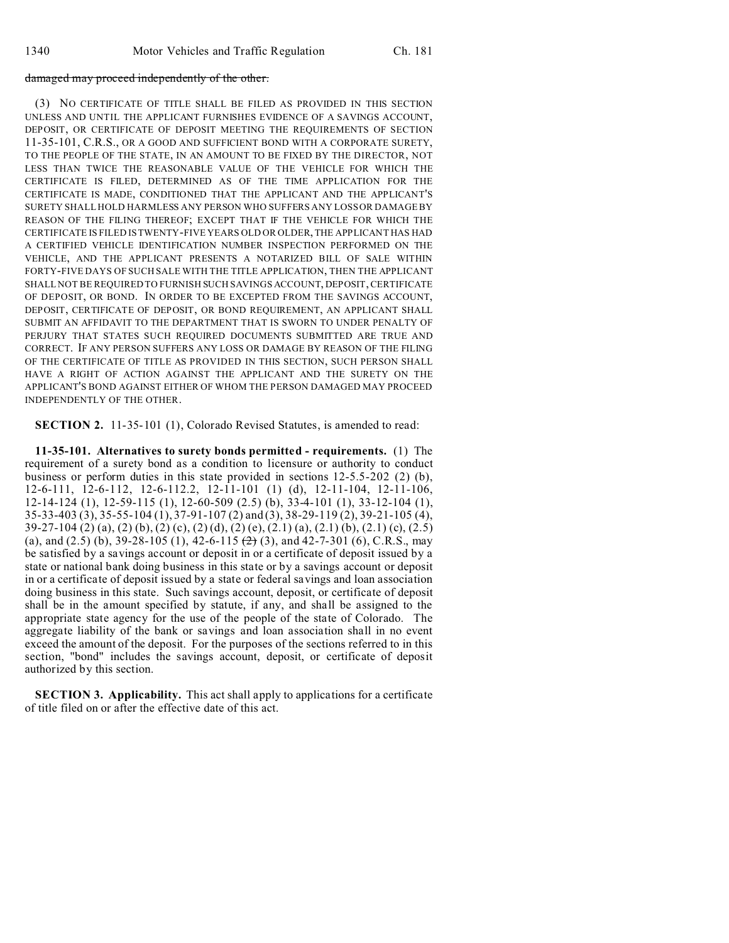## damaged may proceed independently of the other.

(3) NO CERTIFICATE OF TITLE SHALL BE FILED AS PROVIDED IN THIS SECTION UNLESS AND UNTIL THE APPLICANT FURNISHES EVIDENCE OF A SAVINGS ACCOUNT, DEPOSIT, OR CERTIFICATE OF DEPOSIT MEETING THE REQUIREMENTS OF SECTION 11-35-101, C.R.S., OR A GOOD AND SUFFICIENT BOND WITH A CORPORATE SURETY, TO THE PEOPLE OF THE STATE, IN AN AMOUNT TO BE FIXED BY THE DIRECTOR, NOT LESS THAN TWICE THE REASONABLE VALUE OF THE VEHICLE FOR WHICH THE CERTIFICATE IS FILED, DETERMINED AS OF THE TIME APPLICATION FOR THE CERTIFICATE IS MADE, CONDITIONED THAT THE APPLICANT AND THE APPLICANT'S SURETY SHALL HOLD HARMLESS ANY PERSON WHO SUFFERS ANY LOSS OR DAMAGE BY REASON OF THE FILING THEREOF; EXCEPT THAT IF THE VEHICLE FOR WHICH THE CERTIFICATE IS FILED IS TWENTY-FIVE YEARS OLD OR OLDER, THE APPLICANT HAS HAD A CERTIFIED VEHICLE IDENTIFICATION NUMBER INSPECTION PERFORMED ON THE VEHICLE, AND THE APPLICANT PRESENTS A NOTARIZED BILL OF SALE WITHIN FORTY-FIVE DAYS OF SUCH SALE WITH THE TITLE APPLICATION, THEN THE APPLICANT SHALL NOT BE REQUIRED TO FURNISH SUCH SAVINGS ACCOUNT, DEPOSIT, CERTIFICATE OF DEPOSIT, OR BOND. IN ORDER TO BE EXCEPTED FROM THE SAVINGS ACCOUNT, DEPOSIT, CERTIFICATE OF DEPOSIT, OR BOND REQUIREMENT, AN APPLICANT SHALL SUBMIT AN AFFIDAVIT TO THE DEPARTMENT THAT IS SWORN TO UNDER PENALTY OF PERJURY THAT STATES SUCH REQUIRED DOCUMENTS SUBMITTED ARE TRUE AND CORRECT. IF ANY PERSON SUFFERS ANY LOSS OR DAMAGE BY REASON OF THE FILING OF THE CERTIFICATE OF TITLE AS PROVIDED IN THIS SECTION, SUCH PERSON SHALL HAVE A RIGHT OF ACTION AGAINST THE APPLICANT AND THE SURETY ON THE APPLICANT'S BOND AGAINST EITHER OF WHOM THE PERSON DAMAGED MAY PROCEED INDEPENDENTLY OF THE OTHER.

**SECTION 2.** 11-35-101 (1), Colorado Revised Statutes, is amended to read:

**11-35-101. Alternatives to surety bonds permitted - requirements.** (1) The requirement of a surety bond as a condition to licensure or authority to conduct business or perform duties in this state provided in sections 12-5.5-202 (2) (b), 12-6-111, 12-6-112, 12-6-112.2, 12-11-101 (1) (d), 12-11-104, 12-11-106, 12-14-124 (1), 12-59-115 (1), 12-60-509 (2.5) (b), 33-4-101 (1), 33-12-104 (1), 35-33-403 (3), 35-55-104 (1), 37-91-107 (2) and (3), 38-29-119 (2), 39-21-105 (4),  $39-27-104$  (2) (a), (2) (b), (2) (c), (2) (d), (2) (e), (2.1) (a), (2.1) (b), (2.1) (c), (2.5) (a), and  $(2.5)$  (b), 39-28-105 (1), 42-6-115  $(2)$  (3), and 42-7-301 (6), C.R.S., may be satisfied by a savings account or deposit in or a certificate of deposit issued by a state or national bank doing business in this state or by a savings account or deposit in or a certificate of deposit issued by a state or federal savings and loan association doing business in this state. Such savings account, deposit, or certificate of deposit shall be in the amount specified by statute, if any, and shall be assigned to the appropriate state agency for the use of the people of the state of Colorado. The aggregate liability of the bank or savings and loan association shall in no event exceed the amount of the deposit. For the purposes of the sections referred to in this section, "bond" includes the savings account, deposit, or certificate of deposit authorized by this section.

**SECTION 3. Applicability.** This act shall apply to applications for a certificate of title filed on or after the effective date of this act.